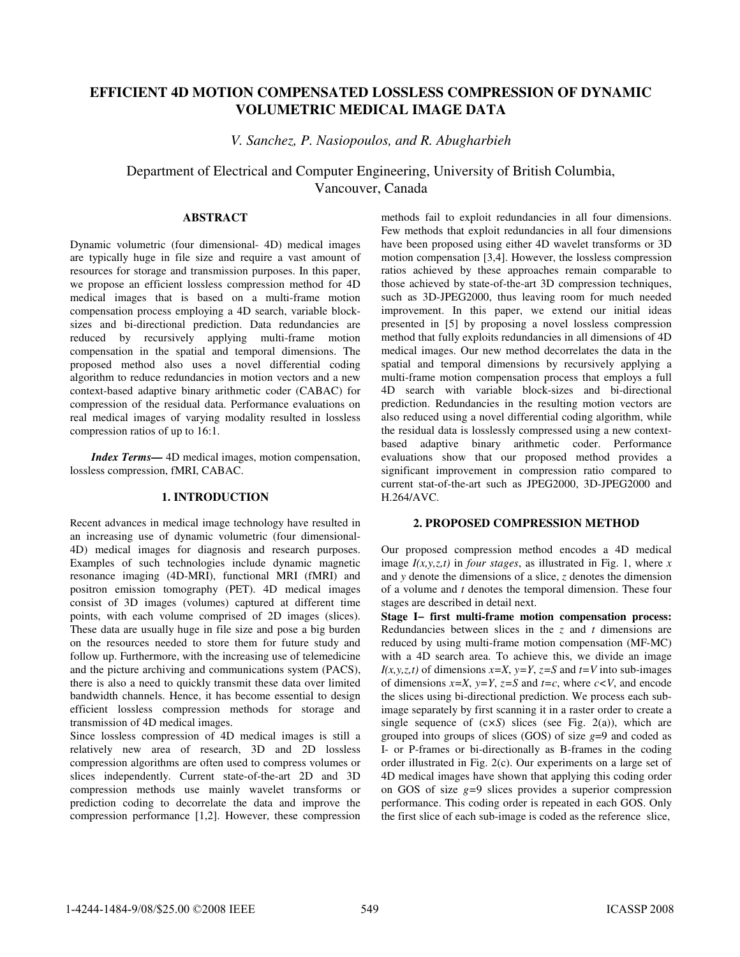# **EFFICIENT 4D MOTION COMPENSATED LOSSLESS COMPRESSION OF DYNAMIC VOLUMETRIC MEDICAL IMAGE DATA**

*V. Sanchez, P. Nasiopoulos, and R. Abugharbieh* 

Department of Electrical and Computer Engineering, University of British Columbia, Vancouver, Canada

# **ABSTRACT**

Dynamic volumetric (four dimensional- 4D) medical images are typically huge in file size and require a vast amount of resources for storage and transmission purposes. In this paper, we propose an efficient lossless compression method for 4D medical images that is based on a multi-frame motion compensation process employing a 4D search, variable blocksizes and bi-directional prediction. Data redundancies are reduced by recursively applying multi-frame motion compensation in the spatial and temporal dimensions. The proposed method also uses a novel differential coding algorithm to reduce redundancies in motion vectors and a new context-based adaptive binary arithmetic coder (CABAC) for compression of the residual data. Performance evaluations on real medical images of varying modality resulted in lossless compression ratios of up to 16:1.

*Index Terms—* 4D medical images, motion compensation, lossless compression, fMRI, CABAC.

# **1. INTRODUCTION**

Recent advances in medical image technology have resulted in an increasing use of dynamic volumetric (four dimensional-4D) medical images for diagnosis and research purposes. Examples of such technologies include dynamic magnetic resonance imaging (4D-MRI), functional MRI (fMRI) and positron emission tomography (PET). 4D medical images consist of 3D images (volumes) captured at different time points, with each volume comprised of 2D images (slices). These data are usually huge in file size and pose a big burden on the resources needed to store them for future study and follow up. Furthermore, with the increasing use of telemedicine and the picture archiving and communications system (PACS), there is also a need to quickly transmit these data over limited bandwidth channels. Hence, it has become essential to design efficient lossless compression methods for storage and transmission of 4D medical images.

Since lossless compression of 4D medical images is still a relatively new area of research, 3D and 2D lossless compression algorithms are often used to compress volumes or slices independently. Current state-of-the-art 2D and 3D compression methods use mainly wavelet transforms or prediction coding to decorrelate the data and improve the compression performance [1,2]. However, these compression

methods fail to exploit redundancies in all four dimensions. Few methods that exploit redundancies in all four dimensions have been proposed using either 4D wavelet transforms or 3D motion compensation [3,4]. However, the lossless compression ratios achieved by these approaches remain comparable to those achieved by state-of-the-art 3D compression techniques, such as 3D-JPEG2000, thus leaving room for much needed improvement. In this paper, we extend our initial ideas presented in [5] by proposing a novel lossless compression method that fully exploits redundancies in all dimensions of 4D medical images. Our new method decorrelates the data in the spatial and temporal dimensions by recursively applying a multi-frame motion compensation process that employs a full 4D search with variable block-sizes and bi-directional prediction. Redundancies in the resulting motion vectors are also reduced using a novel differential coding algorithm, while the residual data is losslessly compressed using a new contextbased adaptive binary arithmetic coder. Performance evaluations show that our proposed method provides a significant improvement in compression ratio compared to current stat-of-the-art such as JPEG2000, 3D-JPEG2000 and H.264/AVC.

## **2. PROPOSED COMPRESSION METHOD**

Our proposed compression method encodes a 4D medical image *I(x,y,z,t)* in *four stages*, as illustrated in Fig. 1, where *x* and *y* denote the dimensions of a slice, *z* denotes the dimension of a volume and *t* denotes the temporal dimension. These four stages are described in detail next.

**Stage I− first multi-frame motion compensation process:** Redundancies between slices in the *z* and *t* dimensions are reduced by using multi-frame motion compensation (MF-MC) with a 4D search area. To achieve this, we divide an image *I(x,y,z,t)* of dimensions  $x=X$ ,  $y=Y$ ,  $z=S$  and  $t=V$  into sub-images of dimensions  $x=X$ ,  $y=Y$ ,  $z=S$  and  $t=c$ , where  $c < V$ , and encode the slices using bi-directional prediction. We process each subimage separately by first scanning it in a raster order to create a single sequence of (c*×S*) slices (see Fig. 2(a)), which are grouped into groups of slices (GOS) of size *g*=9 and coded as I- or P-frames or bi-directionally as B-frames in the coding order illustrated in Fig. 2(c). Our experiments on a large set of 4D medical images have shown that applying this coding order on GOS of size *g=*9 slices provides a superior compression performance. This coding order is repeated in each GOS. Only the first slice of each sub-image is coded as the reference slice,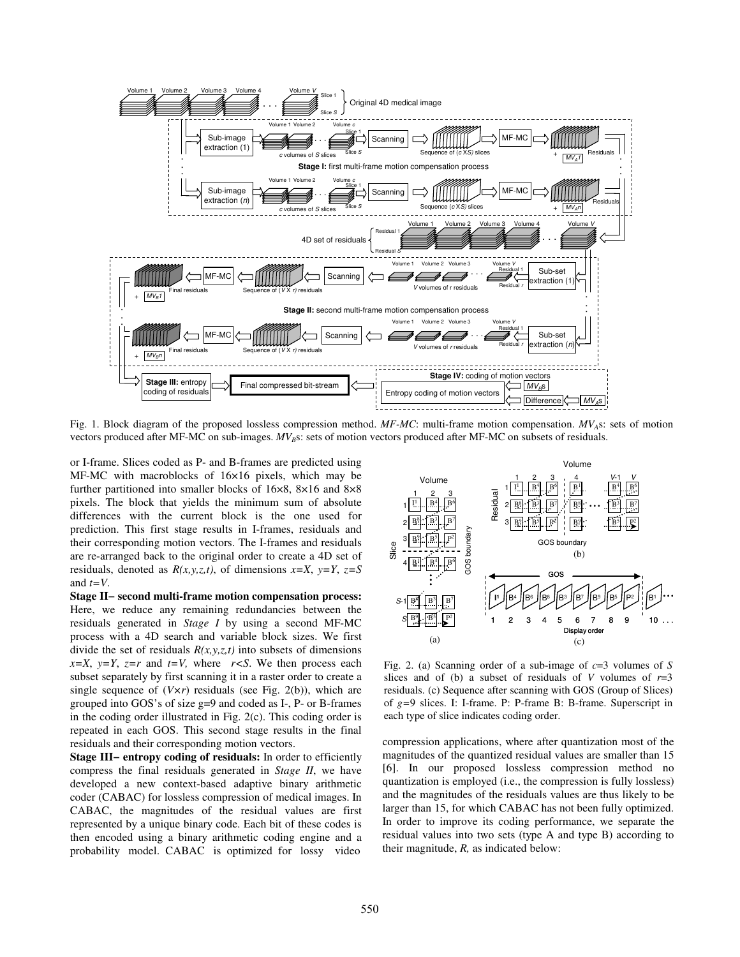

Fig. 1. Block diagram of the proposed lossless compression method. *MF-MC*: multi-frame motion compensation. *MVA*s: sets of motion vectors produced after MF-MC on sub-images.  $MV_B$ s: sets of motion vectors produced after MF-MC on subsets of residuals.

or I-frame. Slices coded as P- and B-frames are predicted using MF-MC with macroblocks of 16×16 pixels, which may be further partitioned into smaller blocks of 16×8, 8×16 and 8×8 pixels. The block that yields the minimum sum of absolute differences with the current block is the one used for prediction. This first stage results in I-frames, residuals and their corresponding motion vectors. The I-frames and residuals are re-arranged back to the original order to create a 4D set of residuals, denoted as  $R(x, y, z, t)$ , of dimensions  $x = X$ ,  $y = Y$ ,  $z = S$ and *t=V*.

**Stage II− second multi-frame motion compensation process:**  Here, we reduce any remaining redundancies between the residuals generated in *Stage I* by using a second MF-MC process with a 4D search and variable block sizes. We first divide the set of residuals  $R(x, y, z, t)$  into subsets of dimensions  $x=X$ ,  $y=Y$ ,  $z=r$  and  $t=V$ , where  $r. We then process each$ subset separately by first scanning it in a raster order to create a single sequence of (*V×r*) residuals (see Fig. 2(b)), which are grouped into GOS's of size g=9 and coded as I-, P- or B-frames in the coding order illustrated in Fig. 2(c). This coding order is repeated in each GOS. This second stage results in the final residuals and their corresponding motion vectors.

**Stage III− entropy coding of residuals:** In order to efficiently compress the final residuals generated in *Stage II*, we have developed a new context-based adaptive binary arithmetic coder (CABAC) for lossless compression of medical images. In CABAC, the magnitudes of the residual values are first represented by a unique binary code. Each bit of these codes is then encoded using a binary arithmetic coding engine and a probability model. CABAC is optimized for lossy video



Fig. 2. (a) Scanning order of a sub-image of *c*=3 volumes of *S* slices and of (b) a subset of residuals of *V* volumes of  $r=3$ residuals. (c) Sequence after scanning with GOS (Group of Slices) of *g=*9 slices. I: I-frame. P: P-frame B: B-frame. Superscript in each type of slice indicates coding order.

compression applications, where after quantization most of the magnitudes of the quantized residual values are smaller than 15 [6]. In our proposed lossless compression method no quantization is employed (i.e., the compression is fully lossless) and the magnitudes of the residuals values are thus likely to be larger than 15, for which CABAC has not been fully optimized. In order to improve its coding performance, we separate the residual values into two sets (type A and type B) according to their magnitude, *R,* as indicated below: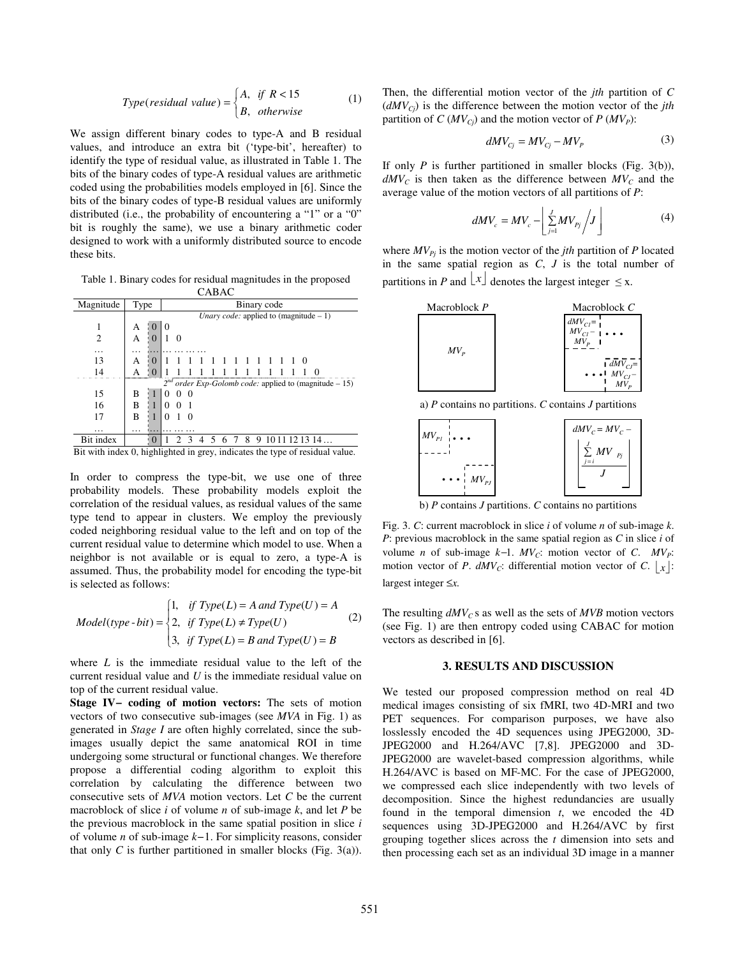Type(residual value) = 
$$
\begin{cases} A, & \text{if } R < 15 \\ B, & \text{otherwise} \end{cases}
$$
 (1)

We assign different binary codes to type-A and B residual values, and introduce an extra bit ('type-bit', hereafter) to identify the type of residual value, as illustrated in Table 1. The bits of the binary codes of type-A residual values are arithmetic coded using the probabilities models employed in [6]. Since the bits of the binary codes of type-B residual values are uniformly distributed (i.e., the probability of encountering a "1" or a "0" bit is roughly the same), we use a binary arithmetic coder designed to work with a uniformly distributed source to encode these bits.

Table 1. Binary codes for residual magnitudes in the proposed CABAC

| Magnitude                                                                    | Type                                                        |          | Binary code                                     |  |          |   |  |   |  |   |   |  |  |            |  |
|------------------------------------------------------------------------------|-------------------------------------------------------------|----------|-------------------------------------------------|--|----------|---|--|---|--|---|---|--|--|------------|--|
|                                                                              |                                                             |          | <i>Unary code:</i> applied to (magnitude $-1$ ) |  |          |   |  |   |  |   |   |  |  |            |  |
|                                                                              | А                                                           | . ()     | $\theta$                                        |  |          |   |  |   |  |   |   |  |  |            |  |
|                                                                              | А                                                           |          |                                                 |  |          |   |  |   |  |   |   |  |  |            |  |
|                                                                              |                                                             |          |                                                 |  |          |   |  |   |  |   |   |  |  |            |  |
|                                                                              |                                                             |          |                                                 |  |          |   |  |   |  |   |   |  |  |            |  |
| 13                                                                           | А                                                           | $\Omega$ |                                                 |  |          |   |  |   |  |   |   |  |  |            |  |
|                                                                              |                                                             |          |                                                 |  |          |   |  |   |  |   |   |  |  |            |  |
|                                                                              | $2^{nd}$ order Exp-Golomb code: applied to (magnitude – 15) |          |                                                 |  |          |   |  |   |  |   |   |  |  |            |  |
| 15                                                                           | В                                                           |          |                                                 |  | $\theta$ |   |  |   |  |   |   |  |  |            |  |
| 16                                                                           | В                                                           |          |                                                 |  |          |   |  |   |  |   |   |  |  |            |  |
| 17                                                                           | В                                                           |          |                                                 |  | $\Omega$ |   |  |   |  |   |   |  |  |            |  |
|                                                                              |                                                             |          |                                                 |  |          |   |  |   |  |   |   |  |  |            |  |
| .                                                                            | .                                                           |          |                                                 |  |          |   |  |   |  |   |   |  |  |            |  |
| Bit index                                                                    |                                                             |          |                                                 |  |          | 4 |  | 6 |  | 8 | 9 |  |  | 1011121314 |  |
| Bit with index 0, highlighted in grey, indicates the type of residual value. |                                                             |          |                                                 |  |          |   |  |   |  |   |   |  |  |            |  |

In order to compress the type-bit, we use one of three probability models. These probability models exploit the correlation of the residual values, as residual values of the same type tend to appear in clusters. We employ the previously coded neighboring residual value to the left and on top of the current residual value to determine which model to use. When a neighbor is not available or is equal to zero, a type-A is assumed. Thus, the probability model for encoding the type-bit is selected as follows:

$$
Model(type - bit) = \begin{cases} 1, & \text{if Type}(L) = A \text{ and Type}(U) = A \\ 2, & \text{if Type}(L) \neq Type(U) \\ 3, & \text{if Type}(L) = B \text{ and Type}(U) = B \end{cases} \tag{2}
$$

where *L* is the immediate residual value to the left of the current residual value and *U* is the immediate residual value on top of the current residual value.

**Stage IV− coding of motion vectors:** The sets of motion vectors of two consecutive sub-images (see *MVA* in Fig. 1) as generated in *Stage I* are often highly correlated, since the subimages usually depict the same anatomical ROI in time undergoing some structural or functional changes. We therefore propose a differential coding algorithm to exploit this correlation by calculating the difference between two consecutive sets of *MVA* motion vectors. Let *C* be the current macroblock of slice *i* of volume *n* of sub-image *k*, and let *P* be the previous macroblock in the same spatial position in slice *i* of volume *n* of sub-image *k−*1. For simplicity reasons, consider that only  $C$  is further partitioned in smaller blocks (Fig. 3(a)). Then, the differential motion vector of the *jth* partition of *C*  $(dMV_{C<sub>i</sub>})$  is the difference between the motion vector of the *jth* partition of *C* ( $MV_{Cj}$ ) and the motion vector of *P* ( $MV_P$ ):

$$
dMV_{cj} = MV_{cj} - MV_P \tag{3}
$$

If only *P* is further partitioned in smaller blocks (Fig. 3(b)),  $dMV<sub>C</sub>$  is then taken as the difference between  $MV<sub>C</sub>$  and the average value of the motion vectors of all partitions of *P*:

$$
dMV_c = MV_c - \left[ \sum_{j=1}^{J} MV_{pj} / J \right] \tag{4}
$$

where  $MV_{Pi}$  is the motion vector of the *jth* partition of *P* located in the same spatial region as *C*, *J* is the total number of partitions in *P* and  $\lfloor x \rfloor$  denotes the largest integer  $\leq$  x.



a) *P* contains no partitions. *C* contains *J* partitions



b) *P* contains *J* partitions. *C* contains no partitions

Fig. 3. *C*: current macroblock in slice *i* of volume *n* of sub-image *k*. *P*: previous macroblock in the same spatial region as *C* in slice *i* of volume *n* of sub-image *k*−1. *MV<sub>C</sub>*: motion vector of *C*. *MV<sub>P</sub>*: motion vector of *P*.  $dMV_C$ : differential motion vector of *C*.  $|x|$ : largest integer ≤*x.* 

The resulting  $dMV<sub>C</sub>$  s as well as the sets of  $MVB$  motion vectors (see Fig. 1) are then entropy coded using CABAC for motion vectors as described in [6].

#### **3. RESULTS AND DISCUSSION**

We tested our proposed compression method on real 4D medical images consisting of six fMRI, two 4D-MRI and two PET sequences. For comparison purposes, we have also losslessly encoded the 4D sequences using JPEG2000, 3D-JPEG2000 and H.264/AVC [7,8]. JPEG2000 and 3D-JPEG2000 are wavelet-based compression algorithms, while H.264/AVC is based on MF-MC. For the case of JPEG2000, we compressed each slice independently with two levels of decomposition. Since the highest redundancies are usually found in the temporal dimension *t*, we encoded the 4D sequences using 3D-JPEG2000 and H.264/AVC by first grouping together slices across the *t* dimension into sets and then processing each set as an individual 3D image in a manner